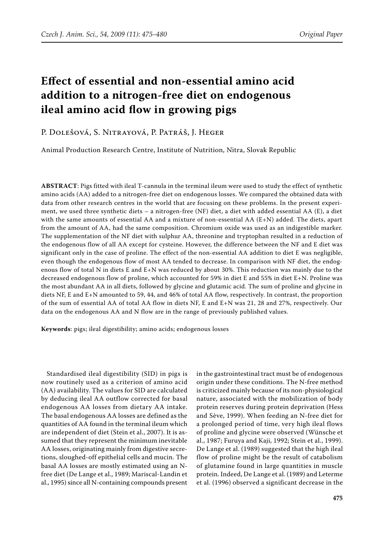# **Effect of essential and non-essential amino acid addition to a nitrogen-free diet on endogenous ileal amino acid flow in growing pigs**

# P. Dolešová, S. Nitrayová, P. Patráš, J. Heger

Animal Production Research Centre, Institute of Nutrition, Nitra, Slovak Republic

**ABSTRACT**: Pigs fitted with ileal T-cannula in the terminal ileum were used to study the effect of synthetic amino acids (AA) added to a nitrogen-free diet on endogenous losses. We compared the obtained data with data from other research centres in the world that are focusing on these problems. In the present experiment, we used three synthetic diets – a nitrogen-free (NF) diet, a diet with added essential AA (E), a diet with the same amounts of essential AA and a mixture of non-essential AA (E+N) added. The diets, apart from the amount of AA, had the same composition. Chromium oxide was used as an indigestible marker. The supplementation of the NF diet with sulphur AA, threonine and tryptophan resulted in a reduction of the endogenous flow of all AA except for cysteine. However, the difference between the NF and E diet was significant only in the case of proline. The effect of the non-essential AA addition to diet E was negligible, even though the endogenous flow of most AA tended to decrease. In comparison with NF diet, the endogenous flow of total N in diets E and E+N was reduced by about 30%. This reduction was mainly due to the decreased endogenous flow of proline, which accounted for 59% in diet E and 55% in diet E+N. Proline was the most abundant AA in all diets, followed by glycine and glutamic acid. The sum of proline and glycine in diets NF, E and E+N amounted to 59, 44, and 46% of total AA flow, respectively. In contrast, the proportion of the sum of essential AA of total AA flow in diets NF, E and E+N was 21, 28 and 27%, respectively. Our data on the endogenous AA and N flow are in the range of previously published values.

**Keywords**: pigs; ileal digestibility; amino acids; endogenous losses

Standardised ileal digestibility (SID) in pigs is now routinely used as a criterion of amino acid (AA) availability. The values for SID are calculated by deducing ileal AA outflow corrected for basal endogenous AA losses from dietary AA intake. The basal endogenous AA losses are defined as the quantities of AA found in the terminal ileum which are independent of diet (Stein et al., 2007). It is assumed that they represent the minimum inevitable AA losses, originating mainly from digestive secretions, sloughed-off epithelial cells and mucin. The basal AA losses are mostly estimated using an Nfree diet (De Lange et al., 1989; Mariscal-Landin et al., 1995) since all N-containing compounds present

in the gastrointestinal tract must be of endogenous origin under these conditions. The N-free method is criticized mainly because of its non-physiological nature, associated with the mobilization of body protein reserves during protein deprivation (Hess and Sève, 1999). When feeding an N-free diet for a prolonged period of time, very high ileal flows of proline and glycine were observed (Wünsche et al., 1987; Furuya and Kaji, 1992; Stein et al., 1999). De Lange et al. (1989) suggested that the high ileal flow of proline might be the result of catabolism of glutamine found in large quantities in muscle protein. Indeed, De Lange et al. (1989) and Leterme et al. (1996) observed a significant decrease in the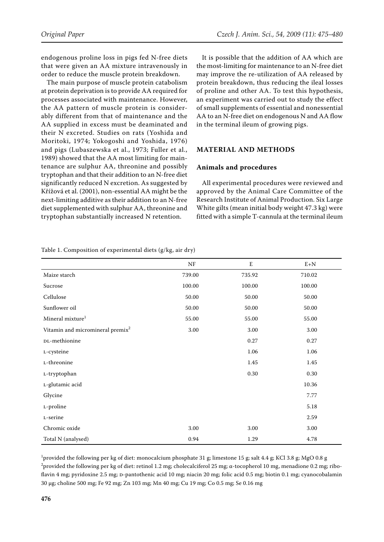endogenous proline loss in pigs fed N-free diets that were given an AA mixture intravenously in order to reduce the muscle protein breakdown.

The main purpose of muscle protein catabolism at protein deprivation is to provide AA required for processes associated with maintenance. However, the AA pattern of muscle protein is considerably different from that of maintenance and the AA supplied in excess must be deaminated and their N excreted. Studies on rats (Yoshida and Moritoki, 1974; Yokogoshi and Yoshida, 1976) and pigs (Lubaszewska et al., 1973; Fuller et al., 1989) showed that the AA most limiting for maintenance are sulphur AA, threonine and possibly tryptophan and that their addition to an N-free diet significantly reduced N excretion. As suggested by Křížová et al. (2001), non-essential AA might be the next-limiting additive as their addition to an N-free diet supplemented with sulphur AA, threonine and tryptophan substantially increased N retention.

It is possible that the addition of AA which are the most-limiting for maintenance to an N-free diet may improve the re-utilization of AA released by protein breakdown, thus reducing the ileal losses of proline and other AA. To test this hypothesis, an experiment was carried out to study the effect of small supplements of essential and nonessential AA to an N-free diet on endogenous N and AA flow in the terminal ileum of growing pigs.

## **MATERIAL AND METHODS**

### **Animals and procedures**

All experimental procedures were reviewed and approved by the Animal Care Committee of the Research Institute of Animal Production. Six Large White gilts (mean initial body weight 47.3 kg) were fitted with a simple T-cannula at the terminal ileum

|                                              | $\rm{NF}$ | E        | $E+N$  |
|----------------------------------------------|-----------|----------|--------|
| Maize starch                                 | 739.00    | 735.92   | 710.02 |
| Sucrose                                      | 100.00    | 100.00   | 100.00 |
| Cellulose                                    | 50.00     | 50.00    | 50.00  |
| Sunflower oil                                | 50.00     | 50.00    | 50.00  |
| Mineral mixture <sup>1</sup>                 | 55.00     | 55.00    | 55.00  |
| Vitamin and micromineral premix <sup>2</sup> | 3.00      | 3.00     | 3.00   |
| DL-methionine                                |           | 0.27     | 0.27   |
| L-cysteine                                   |           | 1.06     | 1.06   |
| L-threonine                                  |           | 1.45     | 1.45   |
| L-tryptophan                                 |           | $0.30\,$ | 0.30   |
| L-glutamic acid                              |           |          | 10.36  |
| Glycine                                      |           |          | 7.77   |
| L-proline                                    |           |          | 5.18   |
| L-serine                                     |           |          | 2.59   |
| Chromic oxide                                | 3.00      | 3.00     | 3.00   |
| Total N (analysed)                           | 0.94      | 1.29     | 4.78   |

Table 1. Composition of experimental diets (g/kg, air dry)

 $^1$ provided the following per kg of diet: monocalcium phosphate 31 g; limestone 15 g; salt 4.4 g; KCl 3.8 g; MgO 0.8 g  $^2$ provided the following per kg of diet: retinol 1.2 mg; cholecalciferol 25 mg; α-tocopherol 10 mg, menadione 0.2 mg; riboflavin 4 mg; pyridoxine 2.5 mg; p-pantothenic acid 10 mg; niacin 20 mg; folic acid 0.5 mg; biotin 0.1 mg; cyanocobalamin 30 μg; choline 500 mg; Fe 92 mg; Zn 103 mg; Mn 40 mg; Cu 19 mg; Co 0.5 mg; Se 0.16 mg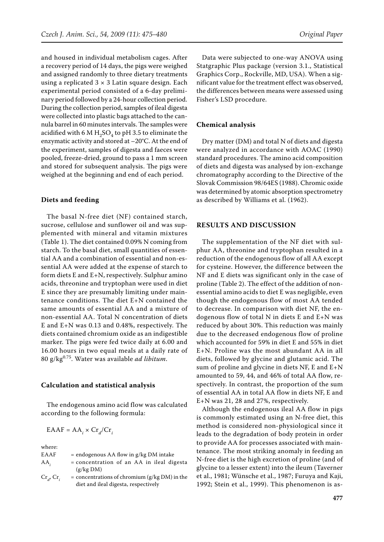and housed in individual metabolism cages. After a recovery period of 14 days, the pigs were weighed and assigned randomly to three dietary treatments using a replicated  $3 \times 3$  Latin square design. Each experimental period consisted of a 6-day preliminary period followed by a 24-hour collection period. During the collection period, samples of ileal digesta were collected into plastic bags attached to the cannula barrel in 60 minutes intervals. The samples were acidified with 6 M  $H_2SO_4$  to pH 3.5 to eliminate the enzymatic activity and stored at –20°C. At the end of the experiment, samples of digesta and faeces were pooled, freeze-dried, ground to pass a 1 mm screen and stored for subsequent analysis. The pigs were weighed at the beginning and end of each period.

#### **Diets and feeding**

The basal N-free diet (NF) contained starch, sucrose, cellulose and sunflower oil and was supplemented with mineral and vitamin mixtures (Table 1). The diet contained 0.09% N coming from starch. To the basal diet, small quantities of essential AA and a combination of essential and non-essential AA were added at the expense of starch to form diets E and E+N, respectively. Sulphur amino acids, threonine and tryptophan were used in diet E since they are presumably limiting under maintenance conditions. The diet E+N contained the same amounts of essential AA and a mixture of non-essential AA. Total N concentration of diets E and E+N was 0.13 and 0.48%, respectively. The diets contained chromium oxide as an indigestible marker. The pigs were fed twice daily at 6.00 and 16.00 hours in two equal meals at a daily rate of 80 g/kg0.75. Water was available *ad libitum*.

#### **Calculation and statistical analysis**

The endogenous amino acid flow was calculated according to the following formula:

$$
EAAF = AA_i \times Cr_d/Cr_i
$$

where:

| EAAF                | $=$ endogenous AA flow in $g/kg$ DM intake                                              |
|---------------------|-----------------------------------------------------------------------------------------|
| $AA_i$              | $=$ concentration of an AA in ileal digesta<br>(g/kg DM)                                |
| $Cr_{a}$ , $Cr_{i}$ | = concentrations of chromium $(g/kg DM)$ in the<br>diet and ileal digesta, respectively |

Data were subjected to one-way ANOVA using Statgraphic Plus package (version 3.1., Statistical Graphics Corp., Rockville, MD, USA). When a significant value for the treatment effect was observed, the differences between means were assessed using Fisher's LSD procedure.

#### **Chemical analysis**

Dry matter (DM) and total N of diets and digesta were analyzed in accordance with AOAC (1990) standard procedures. The amino acid composition of diets and digesta was analysed by ion-exchange chromatography according to the Directive of the Slovak Commission 98/64ES (1988). Chromic oxide was determined by atomic absorption spectrometry as described by Williams et al. (1962).

#### **RESULTS AND DISCUSSION**

The supplementation of the NF diet with sulphur AA, threonine and tryptophan resulted in a reduction of the endogenous flow of all AA except for cysteine. However, the difference between the NF and E diets was significant only in the case of proline (Table 2). The effect of the addition of nonessential amino acids to diet E was negligible, even though the endogenous flow of most AA tended to decrease. In comparison with diet NF, the endogenous flow of total N in diets E and E+N was reduced by about 30%. This reduction was mainly due to the decreased endogenous flow of proline which accounted for 59% in diet E and 55% in diet E+N. Proline was the most abundant AA in all diets, followed by glycine and glutamic acid. The sum of proline and glycine in diets NF, E and E+N amounted to 59, 44, and 46% of total AA flow, respectively. In contrast, the proportion of the sum of essential AA in total AA flow in diets NF, E and E+N was 21, 28 and 27%, respectively.

Although the endogenous ileal AA flow in pigs is commonly estimated using an N-free diet, this method is considered non-physiological since it leads to the degradation of body protein in order to provide AA for processes associated with maintenance. The most striking anomaly in feeding an N-free diet is the high excretion of proline (and of glycine to a lesser extent) into the ileum (Taverner et al., 1981; Wünsche et al., 1987; Furuya and Kaji, 1992; Stein et al., 1999). This phenomenon is as-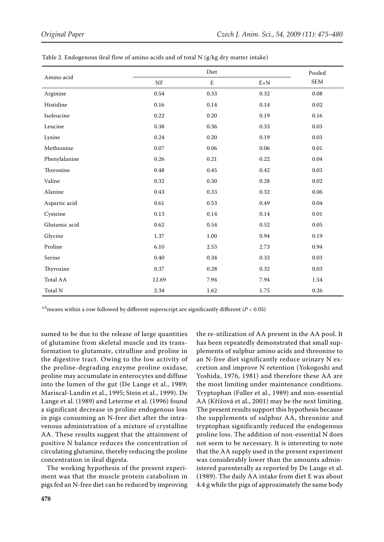| Amino acid    | Diet     |             |          | Pooled     |
|---------------|----------|-------------|----------|------------|
|               | $\rm NF$ | $\mathbf E$ | $E+N$    | <b>SEM</b> |
| Arginine      | 0.54     | 0.33        | 0.32     | 0.08       |
| Histidine     | 0.16     | $0.14\,$    | $0.14\,$ | $0.02\,$   |
| Isoleucine    | 0.22     | 0.20        | 0.19     | 0.16       |
| Leucine       | 0.38     | 0.36        | 0.33     | 0.03       |
| Lysine        | 0.24     | 0.20        | 0.19     | 0.03       |
| Methionine    | $0.07\,$ | 0.06        | 0.06     | $0.01\,$   |
| Phenylalanine | 0.26     | 0.21        | 0.22     | 0.04       |
| Threonine     | 0.48     | 0.45        | 0.42     | 0.03       |
| Valine        | 0.32     | 0.30        | 0.28     | 0.02       |
| Alanine       | 0.43     | 0.33        | 0.32     | 0.06       |
| Aspartic acid | 0.61     | 0.53        | 0.49     | 0.04       |
| Cysteine      | 0.13     | $0.14\,$    | $0.14\,$ | 0.01       |
| Glutamic acid | 0.62     | 0.54        | 0.52     | 0.05       |
| Glycine       | 1.37     | 1.00        | 0.94     | 0.19       |
| Proline       | 6.10     | 2.53        | 2.73     | 0.94       |
| Serine        | 0.40     | 0.34        | 0.33     | 0.03       |
| Thyroxine     | 0.37     | 0.28        | 0.32     | 0.03       |
| Total AA      | 12.69    | 7.94        | 7.94     | 1.54       |
| Total N       | 2.34     | 1.62        | 1.75     | 0.26       |

| Table 2. Endogenous ileal flow of amino acids and of total N (g/kg dry matter intake) |  |  |  |  |
|---------------------------------------------------------------------------------------|--|--|--|--|
|---------------------------------------------------------------------------------------|--|--|--|--|

a,b<sub>means</sub> within a row followed by different superscript are significantly different ( $P < 0.05$ )

sumed to be due to the release of large quantities of glutamine from skeletal muscle and its transformation to glutamate, citrulline and proline in the digestive tract. Owing to the low activity of the proline-degrading enzyme proline oxidase, proline may accumulate in enterocytes and diffuse into the lumen of the gut (De Lange et al., 1989; Mariscal-Landin et al., 1995; Stein et al., 1999). De Lange et al. (1989) and Leterme et al. (1996) found a significant decrease in proline endogenous loss in pigs consuming an N-free diet after the intravenous administration of a mixture of crystalline AA. These results suggest that the attainment of positive N balance reduces the concentration of circulating glutamine, thereby reducing the proline concentration in ileal digesta.

The working hypothesis of the present experiment was that the muscle protein catabolism in pigs fed an N-free diet can be reduced by improving

the re-utilization of AA present in the AA pool. It has been repeatedly demonstrated that small supplements of sulphur amino acids and threonine to an N-free diet significantly reduce urinary N excretion and improve N retention (Yokogoshi and Yoshida, 1976, 1981) and therefore these AA are the most limiting under maintenance conditions. Tryptophan (Fuller et al., 1989) and non-essential AA (Křížová et al., 2001) may be the next limiting. The present results support this hypothesis because the supplements of sulphur AA, threonine and tryptophan significantly reduced the endogenous proline loss. The addition of non-essential N does not seem to be necessary. It is interesting to note that the AA supply used in the present experiment was considerably lower than the amounts administered parenterally as reported by De Lange et al. (1989). The daily AA intake from diet E was about 4.4 g while the pigs of approximately the same body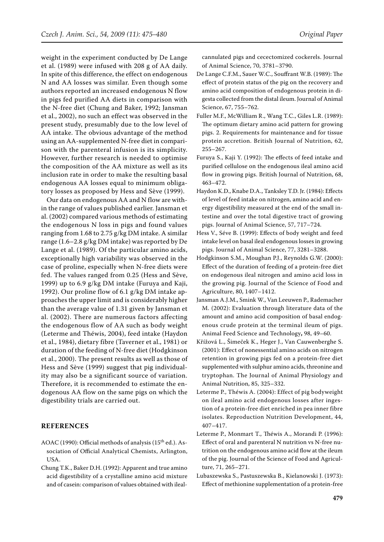weight in the experiment conducted by De Lange et al. (1989) were infused with 208 g of AA daily. In spite of this difference, the effect on endogenous N and AA losses was similar. Even though some authors reported an increased endogenous N flow in pigs fed purified AA diets in comparison with the N-free diet (Chung and Baker, 1992; Jansman et al., 2002), no such an effect was observed in the present study, presumably due to the low level of AA intake. The obvious advantage of the method using an AA-supplemented N-free diet in comparison with the parenteral infusion is its simplicity. However, further research is needed to optimise the composition of the AA mixture as well as its inclusion rate in order to make the resulting basal endogenous AA losses equal to minimum obligatory losses as proposed by Hess and Sève (1999).

Our data on endogenous AA and N flow are within the range of values published earlier. Jansman et al. (2002) compared various methods of estimating the endogenous N loss in pigs and found values ranging from 1.68 to 2.75 g/kg DM intake. A similar range (1.6–2.8 g/kg DM intake) was reported by De Lange et al. (1989). Of the particular amino acids, exceptionally high variability was observed in the case of proline, especially when N-free diets were fed. The values ranged from 0.25 (Hess and Sève, 1999) up to 6.9 g/kg DM intake (Furuya and Kaji, 1992). Our proline flow of 6.1 g/kg DM intake approaches the upper limit and is considerably higher than the average value of 1.31 given by Jansman et al. (2002). There are numerous factors affecting the endogenous flow of AA such as body weight (Leterme and Théwis, 2004), feed intake (Haydon et al., 1984), dietary fibre (Taverner et al., 1981) or duration of the feeding of N-free diet (Hodgkinson et al., 2000). The present results as well as those of Hess and Sève (1999) suggest that pig individuality may also be a significant source of variation. Therefore, it is recommended to estimate the endogenous AA flow on the same pigs on which the digestibility trials are carried out.

#### **REFERENCES**

- AOAC (1990): Official methods of analysis ( $15<sup>th</sup>$  ed.). Association of Official Analytical Chemists, Arlington, USA.
- Chung T.K., Baker D.H. (1992): Apparent and true amino acid digestibility of a crystalline amino acid mixture and of casein: comparison of values obtained with ileal-

cannulated pigs and cecectomized cockerels. Journal of Animal Science, 70, 3781–3790.

- De Lange C.F.M., Sauer W.C., Souffrant W.B. (1989): The effect of protein status of the pig on the recovery and amino acid composition of endogenous protein in digesta collected from the distal ileum. Journal of Animal Science, 67, 755–762.
- Fuller M.F., McWilliam R., Wang T.C., Giles L.R. (1989): The optimum dietary amino acid pattern for growing pigs. 2. Requirements for maintenance and for tissue protein accretion. British Journal of Nutrition, 62, 255–267.
- Furuya S., Kaji Y. (1992): The effects of feed intake and purified cellulose on the endogenous ileal amino acid flow in growing pigs. British Journal of Nutrition, 68, 463–472.
- Haydon K.D., Knabe D.A., Tanksley T.D. Jr. (1984): Effects of level of feed intake on nitrogen, amino acid and energy digestibility measured at the end of the small intestine and over the total digestive tract of growing pigs. Journal of Animal Science, 57, 717–724.
- Hess V., Séve B. (1999): Effects of body weight and feed intake level on basal ileal endogenous losses in growing pigs. Journal of Animal Science, 77, 3281–3288.
- Hodgkinson S.M., Moughan P.J., Reynolds G.W. (2000): Effect of the duration of feeding of a protein-free diet on endogenous ileal nitrogen and amino acid loss in the growing pig. Journal of the Science of Food and Agriculture, 80, 1407–1412.
- Jansman A.J.M., Smink W., Van Leeuwen P., Rademacher M. (2002): Evaluation through literature data of the amount and amino acid composition of basal endogenous crude protein at the terminal ileum of pigs. Animal Feed Science and Technology**,** 98, 49–60.
- Křížová L., Šimeček K., Heger J., Van Cauwenberghe S. (2001): Effect of nonessential amino acids on nitrogen retention in growing pigs fed on a protein-free diet supplemented with sulphur amino acids, threonine and tryptophan. The Journal of Animal Physiology and Animal Nutrition, 85, 325–332.
- Leterme P., Théwis A. (2004): Effect of pig bodyweight on ileal amino acid endogenous losses after ingestion of a protein-free diet enriched in pea inner fibre isolates. Reproduction Nutrition Development, 44, 407–417.
- Leterme P., Monmart T., Théwis A., Morandi P. (1996): Effect of oral and parenteral N nutrition vs N-free nutrition on the endogenous amino acid flow at the ileum of the pig. Journal of the Science of Food and Agriculture, 71, 265–271.
- Lubaszewska S., Pastuszewska B., Kielanowski J. (1973): Effect of methionine supplementation of a protein-free